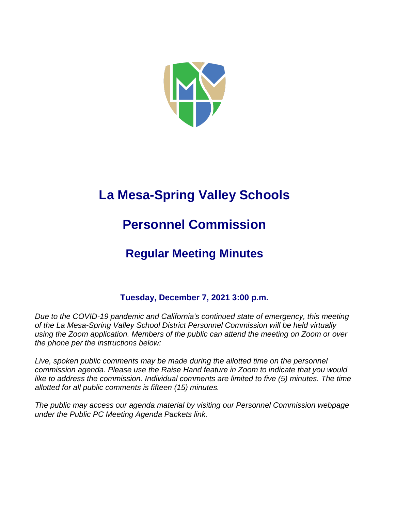

# **La Mesa-Spring Valley Schools**

# **Personnel Commission**

# **Regular Meeting Minutes**

# **Tuesday, December 7, 2021 3:00 p.m.**

*Due to the COVID-19 pandemic and California's continued state of emergency, this meeting of the La Mesa-Spring Valley School District Personnel Commission will be held virtually using the Zoom application. Members of the public can attend the meeting on Zoom or over the phone per the instructions below:*

Live, spoken public comments may be made during the allotted time on the personnel *commission agenda. Please use the Raise Hand feature in Zoom to indicate that you would*  like to address the commission. Individual comments are limited to five (5) minutes. The time *allotted for all public comments is fifteen (15) minutes.*

*The public may access our agenda material by visiting our Personnel Commission webpage under the Public PC Meeting Agenda Packets link.*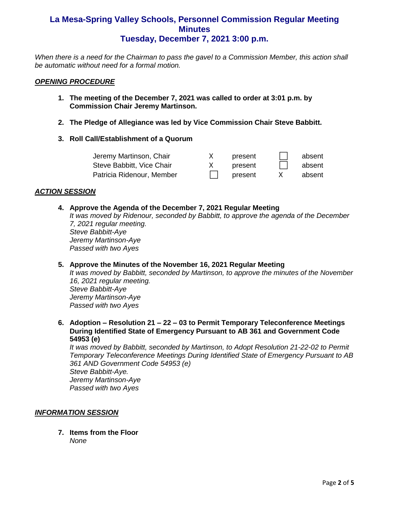*When there is a need for the Chairman to pass the gavel to a Commission Member, this action shall be automatic without need for a formal motion.*

#### *OPENING PROCEDURE*

- **1. The meeting of the December 7, 2021 was called to order at 3:01 p.m. by Commission Chair Jeremy Martinson.**
- **2. The Pledge of Allegiance was led by Vice Commission Chair Steve Babbitt.**
- **3. Roll Call/Establishment of a Quorum**

| Jeremy Martinson, Chair   | present | absent |
|---------------------------|---------|--------|
| Steve Babbitt, Vice Chair | present | absent |
| Patricia Ridenour, Member | present | absent |

#### *ACTION SESSION*

**4. Approve the Agenda of the December 7, 2021 Regular Meeting** 

*It was moved by Ridenour, seconded by Babbitt, to approve the agenda of the December 7, 2021 regular meeting. Steve Babbitt-Aye Jeremy Martinson-Aye Passed with two Ayes*

#### **5. Approve the Minutes of the November 16, 2021 Regular Meeting** *It was moved by Babbitt, seconded by Martinson, to approve the minutes of the November 16, 2021 regular meeting. Steve Babbitt-Aye Jeremy Martinson-Aye Passed with two Ayes*

**6. Adoption – Resolution 21 – 22 – 03 to Permit Temporary Teleconference Meetings During Identified State of Emergency Pursuant to AB 361 and Government Code 54953 (e)**

*It was moved by Babbitt, seconded by Martinson, to Adopt Resolution 21-22-02 to Permit Temporary Teleconference Meetings During Identified State of Emergency Pursuant to AB 361 AND Government Code 54953 (e) Steve Babbitt-Aye. Jeremy Martinson-Aye*

*Passed with two Ayes*

#### *INFORMATION SESSION*

**7. Items from the Floor**  *None*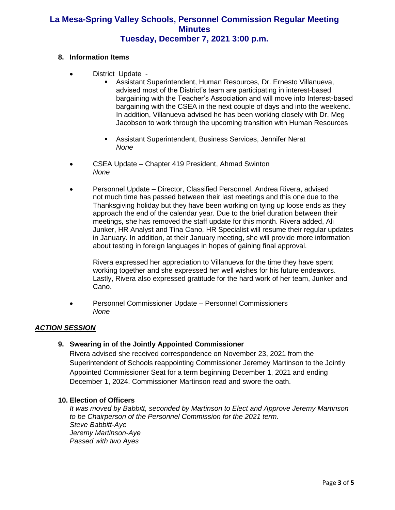#### **8. Information Items**

- District Update
	- **EXECTS:** Assistant Superintendent, Human Resources, Dr. Ernesto Villanueva, advised most of the District's team are participating in interest-based bargaining with the Teacher's Association and will move into Interest-based bargaining with the CSEA in the next couple of days and into the weekend. In addition, Villanueva advised he has been working closely with Dr. Meg Jacobson to work through the upcoming transition with Human Resources
	- Assistant Superintendent, Business Services, Jennifer Nerat *None*
- CSEA Update Chapter 419 President, Ahmad Swinton *None*
- Personnel Update Director, Classified Personnel, Andrea Rivera, advised not much time has passed between their last meetings and this one due to the Thanksgiving holiday but they have been working on tying up loose ends as they approach the end of the calendar year. Due to the brief duration between their meetings, she has removed the staff update for this month. Rivera added, Ali Junker, HR Analyst and Tina Cano, HR Specialist will resume their regular updates in January. In addition, at their January meeting, she will provide more information about testing in foreign languages in hopes of gaining final approval.

Rivera expressed her appreciation to Villanueva for the time they have spent working together and she expressed her well wishes for his future endeavors. Lastly, Rivera also expressed gratitude for the hard work of her team, Junker and Cano.

• Personnel Commissioner Update – Personnel Commissioners *None*

#### *ACTION SESSION*

#### **9. Swearing in of the Jointly Appointed Commissioner**

Rivera advised she received correspondence on November 23, 2021 from the Superintendent of Schools reappointing Commissioner Jeremey Martinson to the Jointly Appointed Commissioner Seat for a term beginning December 1, 2021 and ending December 1, 2024. Commissioner Martinson read and swore the oath.

#### **10. Election of Officers**

*It was moved by Babbitt, seconded by Martinson to Elect and Approve Jeremy Martinson to be Chairperson of the Personnel Commission for the 2021 term. Steve Babbitt-Aye Jeremy Martinson-Aye Passed with two Ayes*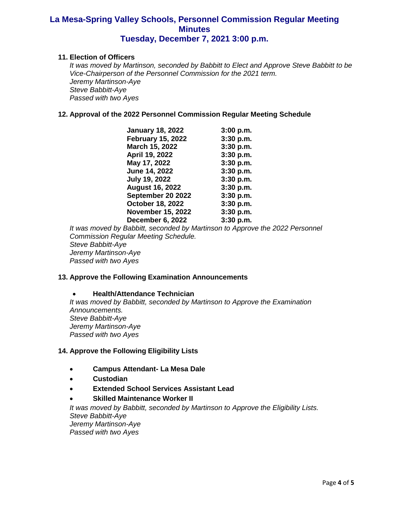#### **11. Election of Officers**

*It was moved by Martinson, seconded by Babbitt to Elect and Approve Steve Babbitt to be Vice-Chairperson of the Personnel Commission for the 2021 term. Jeremy Martinson-Aye Steve Babbitt-Aye Passed with two Ayes*

#### **12. Approval of the 2022 Personnel Commission Regular Meeting Schedule**

| 3:00 p.m.   |
|-------------|
| $3:30$ p.m. |
| $3:30$ p.m. |
| $3:30$ p.m. |
| $3:30$ p.m. |
| 3:30 p.m.   |
| 3:30 p.m.   |
| $3:30$ p.m. |
| 3:30 p.m.   |
| $3:30$ p.m. |
| 3:30 p.m.   |
| $3:30$ p.m. |
|             |

*It was moved by Babbitt, seconded by Martinson to Approve the 2022 Personnel Commission Regular Meeting Schedule. Steve Babbitt-Aye Jeremy Martinson-Aye Passed with two Ayes*

#### **13. Approve the Following Examination Announcements**

#### • **Health/Attendance Technician**

*It was moved by Babbitt, seconded by Martinson to Approve the Examination Announcements. Steve Babbitt-Aye Jeremy Martinson-Aye Passed with two Ayes*

#### **14. Approve the Following Eligibility Lists**

- **Campus Attendant- La Mesa Dale**
- **Custodian**
- **Extended School Services Assistant Lead**
- **Skilled Maintenance Worker II**

*It was moved by Babbitt, seconded by Martinson to Approve the Eligibility Lists. Steve Babbitt-Aye Jeremy Martinson-Aye*

*Passed with two Ayes*